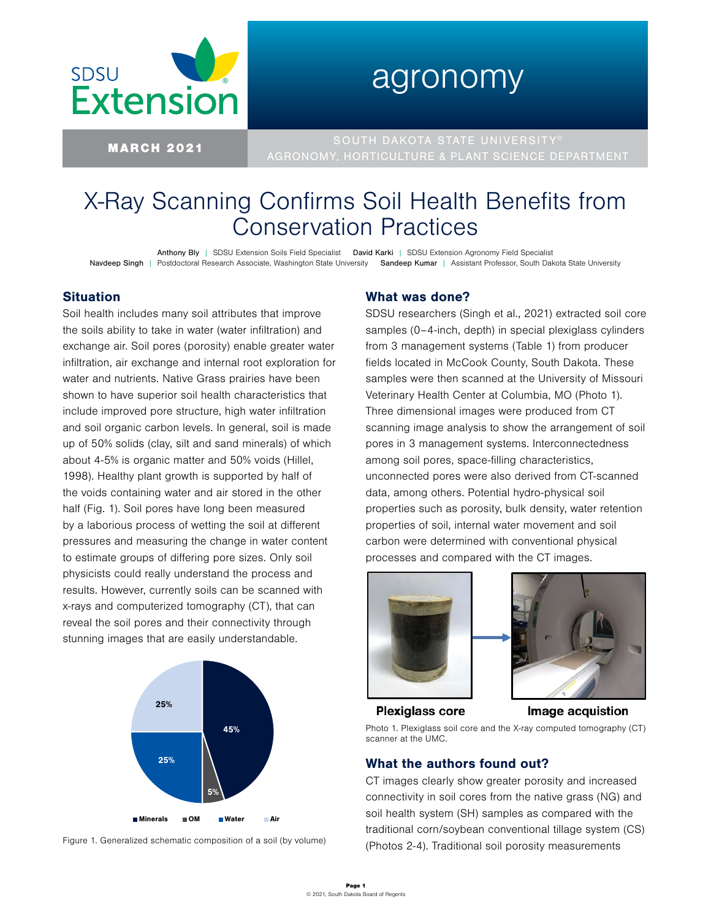

# agronomy

MARCH 2021 SOUTH DAKOTA STATE UNIVERSITY® AGRONOMY, HORTICULTURE & PLANT SCIENCE DEPARTMENT

# X-Ray Scanning Confirms Soil Health Benefits from Conservation Practices

Anthony Bly | SDSU Extension Soils Field Specialist David Karki | SDSU Extension Agronomy Field Specialist Navdeep Singh | Postdoctoral Research Associate, Washington State University Sandeep Kumar | Assistant Professor, South Dakota State University

#### **Situation**

Soil health includes many soil attributes that improve the soils ability to take in water (water infiltration) and exchange air. Soil pores (porosity) enable greater water infiltration, air exchange and internal root exploration for water and nutrients. Native Grass prairies have been shown to have superior soil health characteristics that include improved pore structure, high water infiltration and soil organic carbon levels. In general, soil is made up of 50% solids (clay, silt and sand minerals) of which about 4-5% is organic matter and 50% voids (Hillel, 1998). Healthy plant growth is supported by half of the voids containing water and air stored in the other half (Fig. 1). Soil pores have long been measured by a laborious process of wetting the soil at different pressures and measuring the change in water content to estimate groups of differing pore sizes. Only soil physicists could really understand the process and results. However, currently soils can be scanned with x-rays and computerized tomography (CT), that can reveal the soil pores and their connectivity through stunning images that are easily understandable.



Figure 1. Generalized schematic composition of a soil (by volume)

## What was done?

SDSU researchers (Singh et al., 2021) extracted soil core samples (0–4-inch, depth) in special plexiglass cylinders from 3 management systems (Table 1) from producer fields located in McCook County, South Dakota. These samples were then scanned at the University of Missouri Veterinary Health Center at Columbia, MO (Photo 1). Three dimensional images were produced from CT scanning image analysis to show the arrangement of soil pores in 3 management systems. Interconnectedness among soil pores, space-filling characteristics, unconnected pores were also derived from CT-scanned data, among others. Potential hydro-physical soil properties such as porosity, bulk density, water retention properties of soil, internal water movement and soil carbon were determined with conventional physical processes and compared with the CT images.





**Plexiglass core** 

Image acquistion

Photo 1. Plexiglass soil core and the X-ray computed tomography (CT) scanner at the UMC.

## What the authors found out?

CT images clearly show greater porosity and increased connectivity in soil cores from the native grass (NG) and soil health system (SH) samples as compared with the traditional corn/soybean conventional tillage system (CS) (Photos 2-4). Traditional soil porosity measurements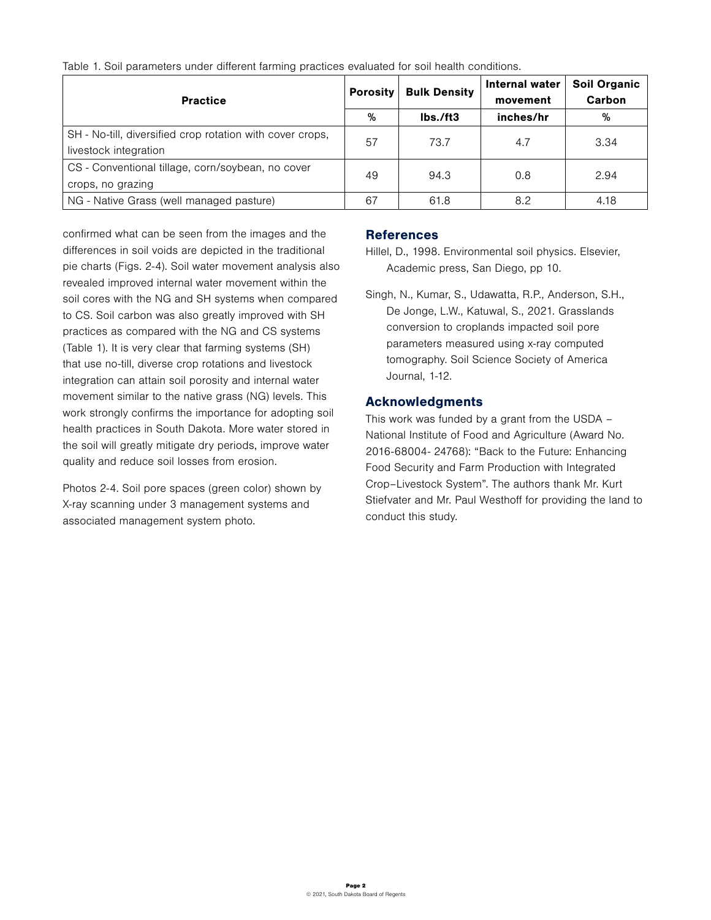| <b>Practice</b>                                           | <b>Porosity</b> | <b>Bulk Density</b> | Internal water<br>movement | <b>Soil Organic</b><br>Carbon |
|-----------------------------------------------------------|-----------------|---------------------|----------------------------|-------------------------------|
|                                                           | %               | Ibs./ft3            | inches/hr                  | %                             |
| SH - No-till, diversified crop rotation with cover crops, | 57              | 73.7                | 4.7                        | 3.34                          |
| livestock integration                                     |                 |                     |                            |                               |
| CS - Conventional tillage, corn/soybean, no cover         | 49              | 94.3                | 0.8                        | 2.94                          |
| crops, no grazing                                         |                 |                     |                            |                               |
| NG - Native Grass (well managed pasture)                  | 67              | 61.8                | 8.2                        | 4.18                          |

Table 1. Soil parameters under different farming practices evaluated for soil health conditions.

confirmed what can be seen from the images and the differences in soil voids are depicted in the traditional pie charts (Figs. 2-4). Soil water movement analysis also revealed improved internal water movement within the soil cores with the NG and SH systems when compared to CS. Soil carbon was also greatly improved with SH practices as compared with the NG and CS systems (Table 1). It is very clear that farming systems (SH) that use no-till, diverse crop rotations and livestock integration can attain soil porosity and internal water movement similar to the native grass (NG) levels. This work strongly confirms the importance for adopting soil health practices in South Dakota. More water stored in the soil will greatly mitigate dry periods, improve water quality and reduce soil losses from erosion.

Photos 2-4. Soil pore spaces (green color) shown by X-ray scanning under 3 management systems and associated management system photo.

#### **References**

- Hillel, D., 1998. Environmental soil physics. Elsevier, Academic press, San Diego, pp 10.
- Singh, N., Kumar, S., Udawatta, R.P., Anderson, S.H., De Jonge, L.W., Katuwal, S., 2021. Grasslands conversion to croplands impacted soil pore parameters measured using x-ray computed tomography. Soil Science Society of America Journal, 1-12.

## Acknowledgments

This work was funded by a grant from the USDA – National Institute of Food and Agriculture (Award No. 2016-68004- 24768): "Back to the Future: Enhancing Food Security and Farm Production with Integrated Crop–Livestock System". The authors thank Mr. Kurt Stiefvater and Mr. Paul Westhoff for providing the land to conduct this study.